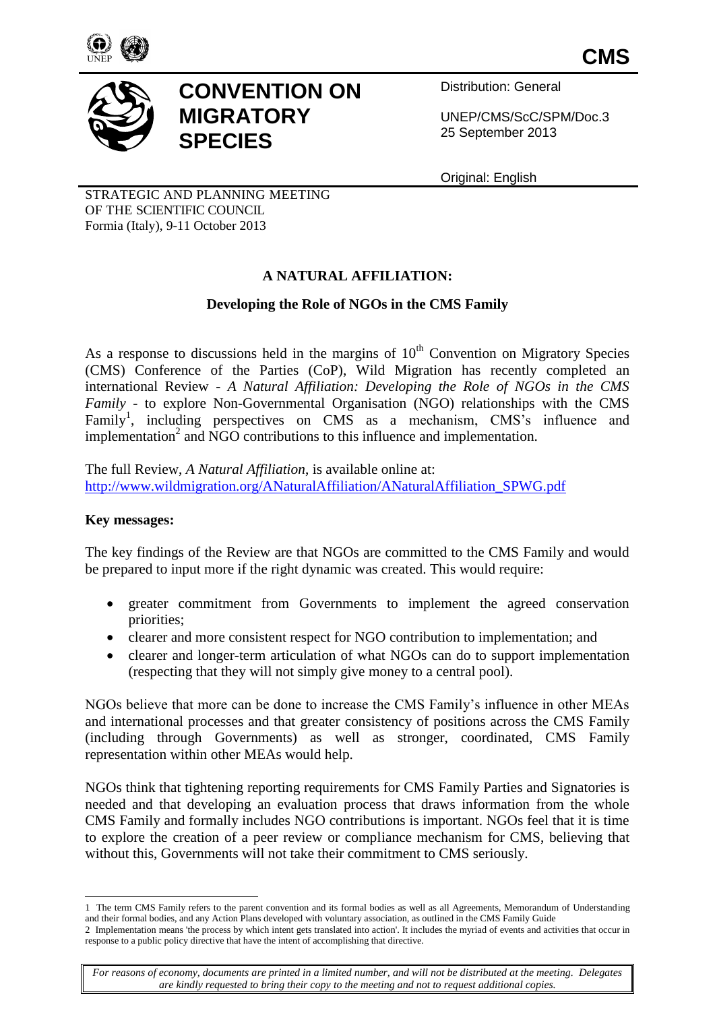

**CMS**



# **CONVENTION ON MIGRATORY SPECIES**

Distribution: General

UNEP/CMS/ScC/SPM/Doc.3 25 September 2013

Original: English

STRATEGIC AND PLANNING MEETING OF THE SCIENTIFIC COUNCIL Formia (Italy), 9-11 October 2013

# **A NATURAL AFFILIATION:**

## **Developing the Role of NGOs in the CMS Family**

As a response to discussions held in the margins of  $10<sup>th</sup>$  Convention on Migratory Species (CMS) Conference of the Parties (CoP), Wild Migration has recently completed an international Review - *A Natural Affiliation: Developing the Role of NGOs in the CMS Family* - to explore Non-Governmental Organisation (NGO) relationships with the CMS Family<sup>1</sup>, including perspectives on CMS as a mechanism, CMS's influence and implementation<sup>2</sup> and NGO contributions to this influence and implementation.

The full Review, *A Natural Affiliation*, is available online at: [http://www.wildmigration.org/ANaturalAffiliation/ANaturalAffiliation\\_SPWG.pdf](http://www.wildmigration.org/ANaturalAffiliation/ANaturalAffiliation_SPWG.pdf)

#### **Key messages:**

l

The key findings of the Review are that NGOs are committed to the CMS Family and would be prepared to input more if the right dynamic was created. This would require:

- greater commitment from Governments to implement the agreed conservation priorities;
- clearer and more consistent respect for NGO contribution to implementation; and
- clearer and longer-term articulation of what NGOs can do to support implementation (respecting that they will not simply give money to a central pool).

NGOs believe that more can be done to increase the CMS Family's influence in other MEAs and international processes and that greater consistency of positions across the CMS Family (including through Governments) as well as stronger, coordinated, CMS Family representation within other MEAs would help.

NGOs think that tightening reporting requirements for CMS Family Parties and Signatories is needed and that developing an evaluation process that draws information from the whole CMS Family and formally includes NGO contributions is important. NGOs feel that it is time to explore the creation of a peer review or compliance mechanism for CMS, believing that without this, Governments will not take their commitment to CMS seriously.

<sup>1</sup> The term CMS Family refers to the parent convention and its formal bodies as well as all Agreements, Memorandum of Understanding and their formal bodies, and any Action Plans developed with voluntary association, as outlined in the CMS Family Guide

<sup>2</sup> Implementation means 'the process by which intent gets translated into action'. It includes the myriad of events and activities that occur in response to a public policy directive that have the intent of accomplishing that directive.

*For reasons of economy, documents are printed in a limited number, and will not be distributed at the meeting. Delegates are kindly requested to bring their copy to the meeting and not to request additional copies.*